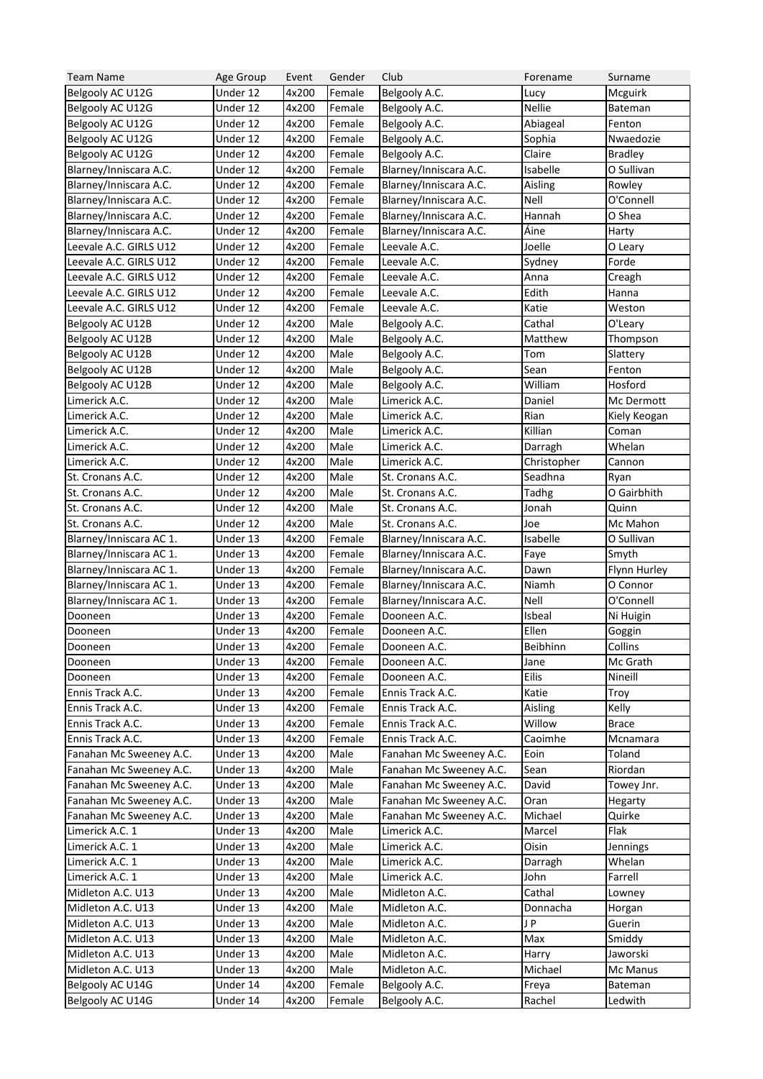| <b>Team Name</b>        | Age Group            | Event | Gender           | Club                    | Forename      | Surname        |
|-------------------------|----------------------|-------|------------------|-------------------------|---------------|----------------|
| Belgooly AC U12G        | Under 12             | 4x200 | Female           | Belgooly A.C.           | Lucy          | Mcguirk        |
| Belgooly AC U12G        | Under 12             | 4x200 | Female           | Belgooly A.C.           | <b>Nellie</b> | Bateman        |
| Belgooly AC U12G        | Under 12             | 4x200 | Female           | Belgooly A.C.           | Abiageal      | Fenton         |
| Belgooly AC U12G        | Under 12             | 4x200 | Female           | Belgooly A.C.           | Sophia        | Nwaedozie      |
| Belgooly AC U12G        | Under 12             | 4x200 | Female           | Belgooly A.C.           | Claire        | <b>Bradley</b> |
| Blarney/Inniscara A.C.  | Under 12             | 4x200 | Female           | Blarney/Inniscara A.C.  | Isabelle      | O Sullivan     |
| Blarney/Inniscara A.C.  | Under 12             | 4x200 | Female           | Blarney/Inniscara A.C.  | Aisling       | Rowley         |
| Blarney/Inniscara A.C.  | Under 12             | 4x200 | Female           | Blarney/Inniscara A.C.  | <b>Nell</b>   | O'Connell      |
| Blarney/Inniscara A.C.  | Under 12             | 4x200 | Female           | Blarney/Inniscara A.C.  | Hannah        | O Shea         |
| Blarney/Inniscara A.C.  | Under 12             | 4x200 | Female           | Blarney/Inniscara A.C.  | Áine          | Harty          |
| Leevale A.C. GIRLS U12  | Under 12             | 4x200 | Female           | Leevale A.C.            | Joelle        | O Leary        |
| Leevale A.C. GIRLS U12  | Under 12             | 4x200 | Female           | Leevale A.C.            | Sydney        | Forde          |
| Leevale A.C. GIRLS U12  | Under 12             | 4x200 | Female           | Leevale A.C.            | Anna          | Creagh         |
| Leevale A.C. GIRLS U12  | Under 12             | 4x200 | Female           | Leevale A.C.            | Edith         | Hanna          |
| Leevale A.C. GIRLS U12  | Under 12             | 4x200 | Female           | Leevale A.C.            | Katie         | Weston         |
| Belgooly AC U12B        | Under 12             | 4x200 | Male             | Belgooly A.C.           | Cathal        | O'Leary        |
| Belgooly AC U12B        | Under 12             | 4x200 | Male             | Belgooly A.C.           | Matthew       | Thompson       |
| Belgooly AC U12B        | Under 12             | 4x200 | Male             | Belgooly A.C.           | Tom           | Slattery       |
| Belgooly AC U12B        | Under 12             | 4x200 | Male             | Belgooly A.C.           | Sean          | Fenton         |
| Belgooly AC U12B        | Under 12             | 4x200 | Male             | Belgooly A.C.           | William       | Hosford        |
| Limerick A.C.           | Under 12             | 4x200 | Male             | Limerick A.C.           | Daniel        | Mc Dermott     |
| Limerick A.C.           | Under 12             | 4x200 | Male             | Limerick A.C.           | Rian          | Kiely Keogan   |
| Limerick A.C.           | Under 12             | 4x200 | Male             | Limerick A.C.           | Killian       | Coman          |
| Limerick A.C.           | Under 12             | 4x200 | Male             | Limerick A.C.           | Darragh       | Whelan         |
| Limerick A.C.           | Under 12             | 4x200 | Male             | Limerick A.C.           | Christopher   | Cannon         |
| St. Cronans A.C.        | Under 12             | 4x200 | Male             | St. Cronans A.C.        | Seadhna       | Ryan           |
| St. Cronans A.C.        | Under 12             | 4x200 | Male             | St. Cronans A.C.        | Tadhg         | O Gairbhith    |
| St. Cronans A.C.        | Under 12             | 4x200 | Male             | St. Cronans A.C.        | Jonah         | Quinn          |
|                         |                      |       | Male             |                         | Joe           |                |
| St. Cronans A.C.        | Under 12             | 4x200 |                  | St. Cronans A.C.        |               | Mc Mahon       |
| Blarney/Inniscara AC 1. | Under 13<br>Under 13 | 4x200 | Female           | Blarney/Inniscara A.C.  | Isabelle      | O Sullivan     |
| Blarney/Inniscara AC 1. |                      | 4x200 | Female           | Blarney/Inniscara A.C.  | Faye          | Smyth          |
| Blarney/Inniscara AC 1. | Under 13             | 4x200 | Female<br>Female | Blarney/Inniscara A.C.  | Dawn          | Flynn Hurley   |
| Blarney/Inniscara AC 1. | Under 13             | 4x200 |                  | Blarney/Inniscara A.C.  | Niamh         | O Connor       |
| Blarney/Inniscara AC 1. | Under 13             | 4x200 | Female           | Blarney/Inniscara A.C.  | Nell          | O'Connell      |
| Dooneen                 | Under 13             | 4x200 | Female           | Dooneen A.C.            | Isbeal        | Ni Huigin      |
| Dooneen                 | Under 13             | 4x200 | Female           | Dooneen A.C.            | Ellen         | Goggin         |
| Dooneen                 | Under 13             | 4x200 | Female           | Dooneen A.C.            | Beibhinn      | Collins        |
| Dooneen                 | Under 13             | 4x200 | Female           | Dooneen A.C.            | Jane          | Mc Grath       |
| Dooneen                 | Under 13             | 4x200 | Female           | Dooneen A.C.            | Eilis         | Nineill        |
| Ennis Track A.C.        | Under 13             | 4x200 | Female           | Ennis Track A.C.        | Katie         | Troy           |
| Ennis Track A.C.        | Under 13             | 4x200 | Female           | Ennis Track A.C.        | Aisling       | Kelly          |
| Ennis Track A.C.        | Under 13             | 4x200 | Female           | Ennis Track A.C.        | Willow        | <b>Brace</b>   |
| Ennis Track A.C.        | Under 13             | 4x200 | Female           | Ennis Track A.C.        | Caoimhe       | Mcnamara       |
| Fanahan Mc Sweeney A.C. | Under 13             | 4x200 | Male             | Fanahan Mc Sweeney A.C. | Eoin          | Toland         |
| Fanahan Mc Sweeney A.C. | Under 13             | 4x200 | Male             | Fanahan Mc Sweeney A.C. | Sean          | Riordan        |
| Fanahan Mc Sweeney A.C. | Under 13             | 4x200 | Male             | Fanahan Mc Sweeney A.C. | David         | Towey Jnr.     |
| Fanahan Mc Sweeney A.C. | Under 13             | 4x200 | Male             | Fanahan Mc Sweeney A.C. | Oran          | Hegarty        |
| Fanahan Mc Sweeney A.C. | Under 13             | 4x200 | Male             | Fanahan Mc Sweeney A.C. | Michael       | Quirke         |
| Limerick A.C. 1         | Under 13             | 4x200 | Male             | Limerick A.C.           | Marcel        | Flak           |
| Limerick A.C. 1         | Under 13             | 4x200 | Male             | Limerick A.C.           | Oisin         | Jennings       |
| Limerick A.C. 1         | Under 13             | 4x200 | Male             | Limerick A.C.           | Darragh       | Whelan         |
| Limerick A.C. 1         | Under 13             | 4x200 | Male             | Limerick A.C.           | John          | Farrell        |
| Midleton A.C. U13       | Under 13             | 4x200 | Male             | Midleton A.C.           | Cathal        | Lowney         |
| Midleton A.C. U13       | Under 13             | 4x200 | Male             | Midleton A.C.           | Donnacha      | Horgan         |
| Midleton A.C. U13       | Under 13             | 4x200 | Male             | Midleton A.C.           | JP            | Guerin         |
| Midleton A.C. U13       | Under 13             | 4x200 | Male             | Midleton A.C.           | Max           | Smiddy         |
| Midleton A.C. U13       | Under 13             | 4x200 | Male             | Midleton A.C.           | Harry         | Jaworski       |
| Midleton A.C. U13       | Under 13             | 4x200 | Male             | Midleton A.C.           | Michael       | Mc Manus       |
| Belgooly AC U14G        | Under 14             | 4x200 | Female           | Belgooly A.C.           | Freya         | Bateman        |
| Belgooly AC U14G        | Under 14             | 4x200 | Female           | Belgooly A.C.           | Rachel        | Ledwith        |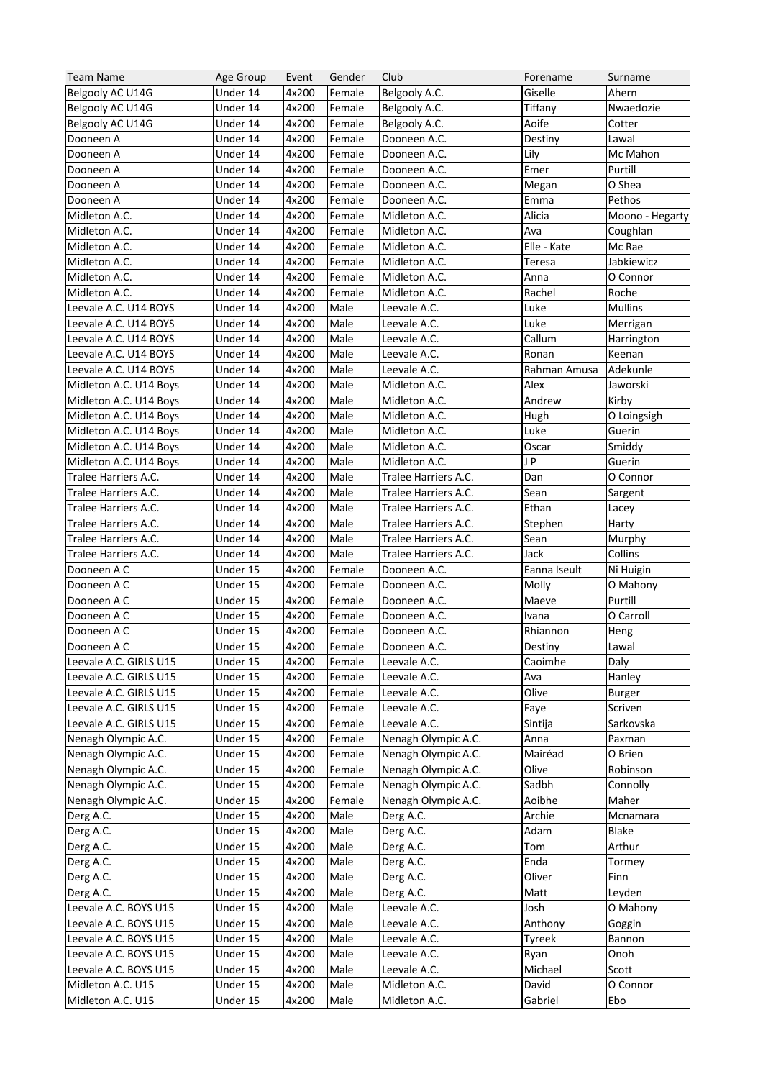| <b>Team Name</b>                                 | Age Group | Event | Gender | Club                 | Forename     | Surname         |
|--------------------------------------------------|-----------|-------|--------|----------------------|--------------|-----------------|
| Belgooly AC U14G                                 | Under 14  | 4x200 | Female | Belgooly A.C.        | Giselle      | Ahern           |
| Belgooly AC U14G                                 | Under 14  | 4x200 | Female | Belgooly A.C.        | Tiffany      | Nwaedozie       |
| Belgooly AC U14G                                 | Under 14  | 4x200 | Female | Belgooly A.C.        | Aoife        | Cotter          |
| Dooneen A                                        | Under 14  | 4x200 | Female | Dooneen A.C.         | Destiny      | Lawal           |
| Dooneen A                                        | Under 14  | 4x200 | Female | Dooneen A.C.         | Lily         | Mc Mahon        |
| Dooneen A                                        | Under 14  | 4x200 | Female | Dooneen A.C.         | Emer         | Purtill         |
| Dooneen A                                        | Under 14  | 4x200 | Female | Dooneen A.C.         | Megan        | O Shea          |
| Dooneen A                                        | Under 14  | 4x200 | Female | Dooneen A.C.         | Emma         | Pethos          |
| Midleton A.C.                                    | Under 14  | 4x200 | Female | Midleton A.C.        | Alicia       | Moono - Hegarty |
| Midleton A.C.                                    | Under 14  | 4x200 | Female | Midleton A.C.        | Ava          | Coughlan        |
| Midleton A.C.                                    | Under 14  | 4x200 | Female | Midleton A.C.        | Elle - Kate  | Mc Rae          |
| Midleton A.C.                                    | Under 14  | 4x200 | Female | Midleton A.C.        | Teresa       | Jabkiewicz      |
| Midleton A.C.                                    | Under 14  | 4x200 | Female | Midleton A.C.        | Anna         | O Connor        |
| Midleton A.C.                                    | Under 14  | 4x200 | Female | Midleton A.C.        | Rachel       | Roche           |
| Leevale A.C. U14 BOYS                            | Under 14  | 4x200 | Male   | Leevale A.C.         | Luke         | <b>Mullins</b>  |
| Leevale A.C. U14 BOYS                            | Under 14  | 4x200 | Male   | Leevale A.C.         | Luke         | Merrigan        |
| Leevale A.C. U14 BOYS                            | Under 14  | 4x200 | Male   | Leevale A.C.         | Callum       | Harrington      |
| Leevale A.C. U14 BOYS                            | Under 14  | 4x200 | Male   | Leevale A.C.         | Ronan        | Keenan          |
| Leevale A.C. U14 BOYS                            | Under 14  | 4x200 | Male   | Leevale A.C.         | Rahman Amusa | Adekunle        |
| Midleton A.C. U14 Boys                           | Under 14  | 4x200 | Male   | Midleton A.C.        | Alex         | Jaworski        |
| Midleton A.C. U14 Boys                           | Under 14  | 4x200 | Male   | Midleton A.C.        | Andrew       | Kirby           |
| Midleton A.C. U14 Boys                           | Under 14  | 4x200 | Male   | Midleton A.C.        | Hugh         | O Loingsigh     |
| Midleton A.C. U14 Boys                           | Under 14  | 4x200 | Male   | Midleton A.C.        | Luke         | Guerin          |
| Midleton A.C. U14 Boys                           | Under 14  | 4x200 | Male   | Midleton A.C.        | Oscar        | Smiddy          |
| Midleton A.C. U14 Boys                           | Under 14  | 4x200 | Male   | Midleton A.C.        | JP           | Guerin          |
| Tralee Harriers A.C.                             | Under 14  | 4x200 | Male   | Tralee Harriers A.C. | Dan          | O Connor        |
| Tralee Harriers A.C.                             | Under 14  | 4x200 | Male   | Tralee Harriers A.C. | Sean         | Sargent         |
| Tralee Harriers A.C.                             | Under 14  | 4x200 | Male   | Tralee Harriers A.C. | Ethan        | Lacey           |
| Tralee Harriers A.C.                             | Under 14  | 4x200 | Male   | Tralee Harriers A.C. | Stephen      | Harty           |
| Tralee Harriers A.C.                             | Under 14  | 4x200 | Male   | Tralee Harriers A.C. | Sean         | Murphy          |
| Tralee Harriers A.C.                             | Under 14  | 4x200 | Male   | Tralee Harriers A.C. | Jack         | Collins         |
| Dooneen A C                                      | Under 15  | 4x200 | Female | Dooneen A.C.         | Eanna Iseult | Ni Huigin       |
| Dooneen A C                                      | Under 15  | 4x200 | Female | Dooneen A.C.         | Molly        | O Mahony        |
| Dooneen A C                                      | Under 15  | 4x200 | Female | Dooneen A.C.         | Maeve        | Purtill         |
| Dooneen A C                                      | Under 15  | 4x200 | Female | Dooneen A.C.         | Ivana        | O Carroll       |
| Dooneen A C                                      | Under 15  | 4x200 | Female | Dooneen A.C.         | Rhiannon     | Heng            |
| Dooneen A C                                      | Under 15  | 4x200 | Female | Dooneen A.C.         | Destiny      | Lawal           |
| Leevale A.C. GIRLS U15                           | Under 15  | 4x200 |        |                      | Caoimhe      |                 |
|                                                  |           |       | Female | Leevale A.C.         |              | Daly            |
| Leevale A.C. GIRLS U15<br>Leevale A.C. GIRLS U15 | Under 15  | 4x200 | Female | Leevale A.C.         | Ava<br>Olive | Hanley          |
|                                                  | Under 15  | 4x200 | Female | Leevale A.C.         |              | <b>Burger</b>   |
| Leevale A.C. GIRLS U15                           | Under 15  | 4x200 | Female | Leevale A.C.         | Faye         | Scriven         |
| Leevale A.C. GIRLS U15                           | Under 15  | 4x200 | Female | Leevale A.C.         | Sintija      | Sarkovska       |
| Nenagh Olympic A.C.                              | Under 15  | 4x200 | Female | Nenagh Olympic A.C.  | Anna         | Paxman          |
| Nenagh Olympic A.C.                              | Under 15  | 4x200 | Female | Nenagh Olympic A.C.  | Mairéad      | O Brien         |
| Nenagh Olympic A.C.                              | Under 15  | 4x200 | Female | Nenagh Olympic A.C.  | Olive        | Robinson        |
| Nenagh Olympic A.C.                              | Under 15  | 4x200 | Female | Nenagh Olympic A.C.  | Sadbh        | Connolly        |
| Nenagh Olympic A.C.                              | Under 15  | 4x200 | Female | Nenagh Olympic A.C.  | Aoibhe       | Maher           |
| Derg A.C.                                        | Under 15  | 4x200 | Male   | Derg A.C.            | Archie       | Mcnamara        |
| Derg A.C.                                        | Under 15  | 4x200 | Male   | Derg A.C.            | Adam         | Blake           |
| Derg A.C.                                        | Under 15  | 4x200 | Male   | Derg A.C.            | Tom          | Arthur          |
| Derg A.C.                                        | Under 15  | 4x200 | Male   | Derg A.C.            | Enda         | Tormey          |
| Derg A.C.                                        | Under 15  | 4x200 | Male   | Derg A.C.            | Oliver       | Finn            |
| Derg A.C.                                        | Under 15  | 4x200 | Male   | Derg A.C.            | Matt         | Leyden          |
| Leevale A.C. BOYS U15                            | Under 15  | 4x200 | Male   | Leevale A.C.         | Josh         | O Mahony        |
| Leevale A.C. BOYS U15                            | Under 15  | 4x200 | Male   | Leevale A.C.         | Anthony      | Goggin          |
| Leevale A.C. BOYS U15                            | Under 15  | 4x200 | Male   | Leevale A.C.         | Tyreek       | Bannon          |
| Leevale A.C. BOYS U15                            | Under 15  | 4x200 | Male   | Leevale A.C.         | Ryan         | Onoh            |
| Leevale A.C. BOYS U15                            | Under 15  | 4x200 | Male   | Leevale A.C.         | Michael      | Scott           |
| Midleton A.C. U15                                | Under 15  | 4x200 | Male   | Midleton A.C.        | David        | O Connor        |
| Midleton A.C. U15                                | Under 15  | 4x200 | Male   | Midleton A.C.        | Gabriel      | Ebo             |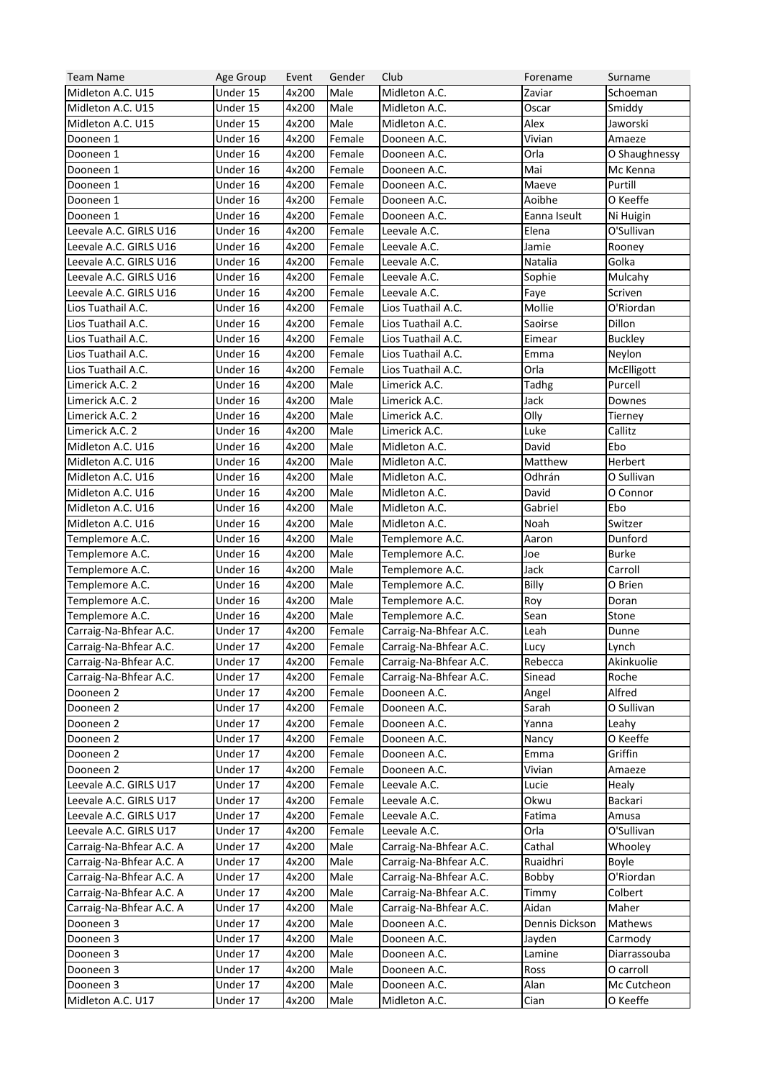| <b>Team Name</b>         | Age Group            | Event | Gender | Club                                             | Forename       | Surname           |
|--------------------------|----------------------|-------|--------|--------------------------------------------------|----------------|-------------------|
| Midleton A.C. U15        | Under 15             | 4x200 | Male   | Midleton A.C.                                    | Zaviar         | Schoeman          |
| Midleton A.C. U15        | Under 15             | 4x200 | Male   | Midleton A.C.                                    | Oscar          | Smiddy            |
| Midleton A.C. U15        | Under 15             | 4x200 | Male   | Midleton A.C.                                    | Alex           | Jaworski          |
| Dooneen 1                | Under 16             | 4x200 | Female | Dooneen A.C.                                     | Vivian         | Amaeze            |
| Dooneen 1                | Under 16             | 4x200 | Female | Dooneen A.C.                                     | Orla           | O Shaughnessy     |
| Dooneen 1                | Under 16             | 4x200 | Female | Dooneen A.C.                                     | Mai            | Mc Kenna          |
| Dooneen 1                | Under 16             | 4x200 | Female | Dooneen A.C.                                     | Maeve          | Purtill           |
| Dooneen 1                | Under 16             | 4x200 | Female | Dooneen A.C.                                     | Aoibhe         | O Keeffe          |
| Dooneen 1                | Under 16             | 4x200 | Female | Dooneen A.C.                                     | Eanna Iseult   | Ni Huigin         |
| Leevale A.C. GIRLS U16   | Under 16             | 4x200 | Female | Leevale A.C.                                     | Elena          | O'Sullivan        |
| Leevale A.C. GIRLS U16   | Under 16             | 4x200 | Female | Leevale A.C.                                     | Jamie          | Rooney            |
| Leevale A.C. GIRLS U16   | Under 16             | 4x200 | Female | Leevale A.C.                                     | Natalia        | Golka             |
| Leevale A.C. GIRLS U16   | Under 16             | 4x200 | Female | Leevale A.C.                                     | Sophie         | Mulcahy           |
| Leevale A.C. GIRLS U16   | Under 16             | 4x200 | Female | Leevale A.C.                                     | Faye           | Scriven           |
| Lios Tuathail A.C.       | Under 16             | 4x200 | Female | Lios Tuathail A.C.                               | Mollie         | O'Riordan         |
| Lios Tuathail A.C.       | Under 16             | 4x200 | Female | Lios Tuathail A.C.                               | Saoirse        | Dillon            |
| Lios Tuathail A.C.       | Under 16             | 4x200 | Female | Lios Tuathail A.C.                               | Eimear         | <b>Buckley</b>    |
| Lios Tuathail A.C.       | Under 16             | 4x200 | Female | Lios Tuathail A.C.                               | Emma           | Neylon            |
| Lios Tuathail A.C.       | Under 16             | 4x200 | Female | Lios Tuathail A.C.                               | Orla           | McElligott        |
| Limerick A.C. 2          | Under 16             | 4x200 | Male   | Limerick A.C.                                    | Tadhg          | Purcell           |
| Limerick A.C. 2          | Under 16             | 4x200 | Male   | Limerick A.C.                                    | Jack           | Downes            |
| Limerick A.C. 2          | Under 16             | 4x200 | Male   | Limerick A.C.                                    | Olly           | Tierney           |
| Limerick A.C. 2          | Under 16             | 4x200 | Male   | Limerick A.C.                                    | Luke           | Callitz           |
| Midleton A.C. U16        | Under 16             | 4x200 | Male   | Midleton A.C.                                    | David          | Ebo               |
| Midleton A.C. U16        | Under 16             | 4x200 | Male   | Midleton A.C.                                    | Matthew        | Herbert           |
| Midleton A.C. U16        | Under 16             | 4x200 | Male   | Midleton A.C.                                    | Odhrán         | O Sullivan        |
| Midleton A.C. U16        | Under 16             | 4x200 | Male   | Midleton A.C.                                    | David          | O Connor          |
| Midleton A.C. U16        | Under 16             | 4x200 | Male   | Midleton A.C.                                    | Gabriel        | Ebo               |
| Midleton A.C. U16        | Under 16             | 4x200 | Male   | Midleton A.C.                                    | Noah           | Switzer           |
| Templemore A.C.          | Under 16             | 4x200 | Male   | Templemore A.C.                                  | Aaron          | Dunford           |
| Templemore A.C.          | Under 16             | 4x200 | Male   | Templemore A.C.                                  | Joe            | <b>Burke</b>      |
| Templemore A.C.          | Under 16             | 4x200 | Male   | Templemore A.C.                                  | Jack           | Carroll           |
| Templemore A.C.          | Under 16             | 4x200 | Male   | Templemore A.C.                                  | Billy          | O Brien           |
| Templemore A.C.          | Under 16             | 4x200 | Male   | Templemore A.C.                                  | Roy            | Doran             |
| Templemore A.C.          | Under 16             | 4x200 | Male   | Templemore A.C.                                  | Sean           | Stone             |
| Carraig-Na-Bhfear A.C.   | Under 17             | 4x200 | Female | Carraig-Na-Bhfear A.C.                           | Leah           | Dunne             |
| Carraig-Na-Bhfear A.C.   | Under 17             | 4x200 | Female | Carraig-Na-Bhfear A.C.                           | Lucy           | Lynch             |
| Carraig-Na-Bhfear A.C.   | Under 17             | 4x200 |        |                                                  | Rebecca        | Akinkuolie        |
| Carraig-Na-Bhfear A.C.   |                      |       | Female | Carraig-Na-Bhfear A.C.<br>Carraig-Na-Bhfear A.C. | Sinead         | Roche             |
| Dooneen 2                | Under 17<br>Under 17 | 4x200 | Female | Dooneen A.C.                                     |                | Alfred            |
|                          |                      | 4x200 | Female |                                                  | Angel          |                   |
| Dooneen 2                | Under 17             | 4x200 | Female | Dooneen A.C.                                     | Sarah          | O Sullivan        |
| Dooneen 2                | Under 17             | 4x200 | Female | Dooneen A.C.                                     | Yanna          | Leahy<br>O Keeffe |
| Dooneen 2                | Under 17             | 4x200 | Female | Dooneen A.C.                                     | Nancy<br>Emma  |                   |
| Dooneen 2                | Under 17             | 4x200 | Female | Dooneen A.C.                                     |                | Griffin           |
| Dooneen 2                | Under 17             | 4x200 | Female | Dooneen A.C.                                     | Vivian         | Amaeze            |
| Leevale A.C. GIRLS U17   | Under 17             | 4x200 | Female | Leevale A.C.                                     | Lucie          | Healy             |
| Leevale A.C. GIRLS U17   | Under 17             | 4x200 | Female | Leevale A.C.                                     | Okwu           | Backari           |
| Leevale A.C. GIRLS U17   | Under 17             | 4x200 | Female | Leevale A.C.                                     | Fatima         | Amusa             |
| Leevale A.C. GIRLS U17   | Under 17             | 4x200 | Female | Leevale A.C.                                     | Orla           | O'Sullivan        |
| Carraig-Na-Bhfear A.C. A | Under 17             | 4x200 | Male   | Carraig-Na-Bhfear A.C.                           | Cathal         | Whooley           |
| Carraig-Na-Bhfear A.C. A | Under 17             | 4x200 | Male   | Carraig-Na-Bhfear A.C.                           | Ruaidhri       | Boyle             |
| Carraig-Na-Bhfear A.C. A | Under 17             | 4x200 | Male   | Carraig-Na-Bhfear A.C.                           | Bobby          | O'Riordan         |
| Carraig-Na-Bhfear A.C. A | Under 17             | 4x200 | Male   | Carraig-Na-Bhfear A.C.                           | Timmy          | Colbert           |
| Carraig-Na-Bhfear A.C. A | Under 17             | 4x200 | Male   | Carraig-Na-Bhfear A.C.                           | Aidan          | Maher             |
| Dooneen 3                | Under 17             | 4x200 | Male   | Dooneen A.C.                                     | Dennis Dickson | Mathews           |
| Dooneen 3                | Under 17             | 4x200 | Male   | Dooneen A.C.                                     | Jayden         | Carmody           |
| Dooneen 3                | Under 17             | 4x200 | Male   | Dooneen A.C.                                     | Lamine         | Diarrassouba      |
| Dooneen 3                | Under 17             | 4x200 | Male   | Dooneen A.C.                                     | Ross           | O carroll         |
| Dooneen 3                | Under 17             | 4x200 | Male   | Dooneen A.C.                                     | Alan           | Mc Cutcheon       |
| Midleton A.C. U17        | Under 17             | 4x200 | Male   | Midleton A.C.                                    | Cian           | O Keeffe          |